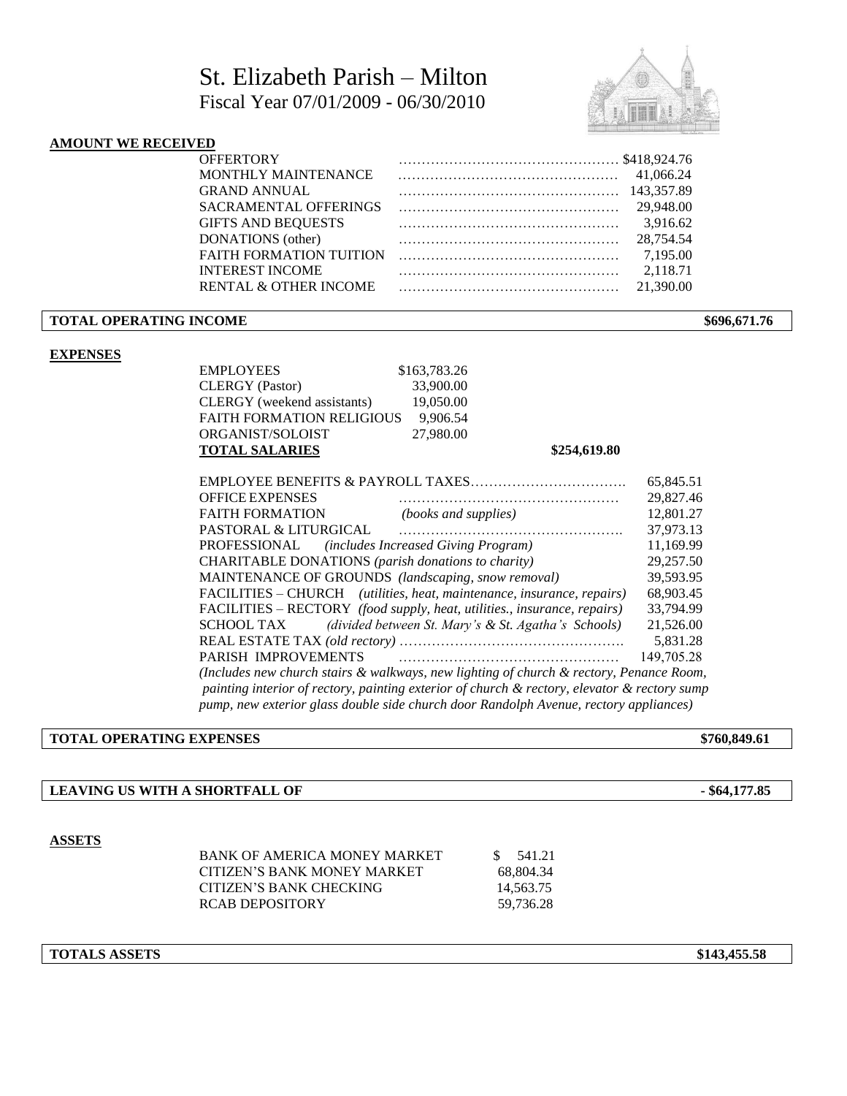# St. Elizabeth Parish – Milton Fiscal Year 07/01/2009 - 06/30/2010



# **AMOUNT WE RECEIVED**

| <b>OFFERTORY</b>                 | $\cdots$ \$418,924.76 |            |
|----------------------------------|-----------------------|------------|
| <b>MONTHLY MAINTENANCE</b>       |                       | 41.066.24  |
| <b>GRAND ANNUAL</b>              |                       | 143,357.89 |
| <b>SACRAMENTAL OFFERINGS</b>     |                       | 29,948.00  |
| <b>GIFTS AND BEQUESTS</b>        |                       | 3.916.62   |
| DONATIONS (other)                |                       | 28.754.54  |
| <b>FAITH FORMATION TUITION</b>   |                       | 7.195.00   |
| <b>INTEREST INCOME</b>           |                       | 2.118.71   |
| <b>RENTAL &amp; OTHER INCOME</b> |                       | 21,390.00  |
|                                  |                       |            |

### **TOTAL OPERATING INCOME** \$696,671.76

### **EXPENSES**

| EMPLOYEES                        | \$163,783.26 |
|----------------------------------|--------------|
| <b>CLERGY</b> (Pastor)           | 33,900.00    |
| CLERGY (weekend assistants)      | 19,050.00    |
| <b>FAITH FORMATION RELIGIOUS</b> | 9.906.54     |
| ORGANIST/SOLOIST                 | 27,980.00    |
| <b>TOTAL SALARIES</b>            |              |

**TOTAL SALARIES \$254,619.80**

| <b>EMPLOYEE BENEFITS &amp; PAYROLL TAXES</b>                                                 | 65,845.51  |  |  |  |  |  |
|----------------------------------------------------------------------------------------------|------------|--|--|--|--|--|
| <b>OFFICE EXPENSES</b>                                                                       | 29,827.46  |  |  |  |  |  |
| <b>FAITH FORMATION</b><br>(books and supplies)                                               | 12,801.27  |  |  |  |  |  |
| <b>PASTORAL &amp; LITURGICAL</b>                                                             | 37,973.13  |  |  |  |  |  |
| PROFESSIONAL (includes Increased Giving Program)                                             | 11.169.99  |  |  |  |  |  |
| CHARITABLE DONATIONS (parish donations to charity)                                           | 29,257.50  |  |  |  |  |  |
| MAINTENANCE OF GROUNDS (landscaping, snow removal)                                           | 39.593.95  |  |  |  |  |  |
| FACILITIES – CHURCH (utilities, heat, maintenance, insurance, repairs)                       | 68,903.45  |  |  |  |  |  |
| FACILITIES – RECTORY (food supply, heat, utilities., insurance, repairs)                     | 33,794.99  |  |  |  |  |  |
| (divided between St. Mary's & St. Agatha's Schools)<br>SCHOOL TAX                            | 21,526.00  |  |  |  |  |  |
|                                                                                              |            |  |  |  |  |  |
| PARISH IMPROVEMENTS                                                                          | 149,705.28 |  |  |  |  |  |
| (Includes new church stairs & walkways, new lighting of church & rectory, Penance Room,      |            |  |  |  |  |  |
| painting interior of rectory, painting exterior of church & rectory, elevator & rectory sump |            |  |  |  |  |  |
| pump, new exterior glass double side church door Randolph Avenue, rectory appliances)        |            |  |  |  |  |  |

#### **TOTAL OPERATING EXPENSES** \$760,849.61

## **LEAVING US WITH A SHORTFALL OF - \$64,177.85**

#### **ASSETS**

| BANK OF AMERICA MONEY MARKET | \$ 541.21 |  |
|------------------------------|-----------|--|
| CITIZEN'S BANK MONEY MARKET  | 68.804.34 |  |
| CITIZEN'S BANK CHECKING      | 14.563.75 |  |
| RCAB DEPOSITORY              | 59.736.28 |  |